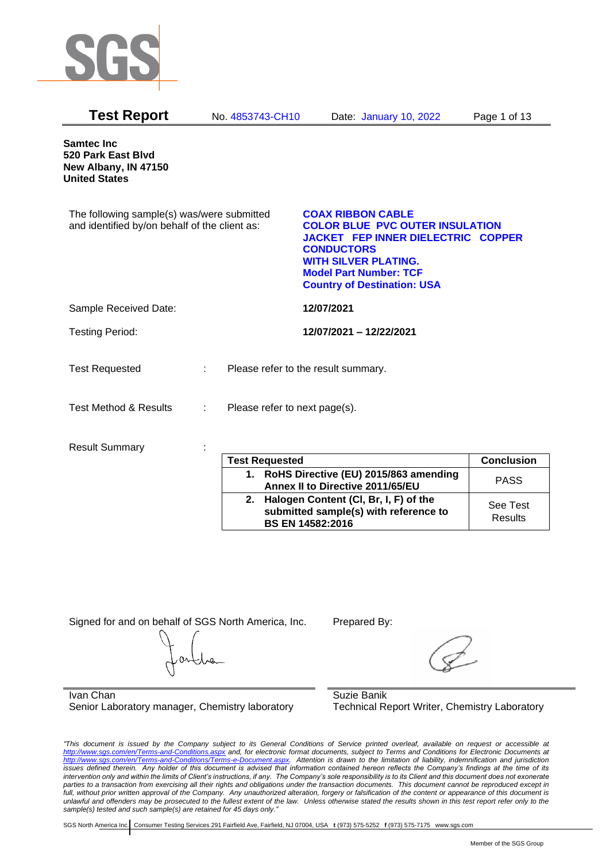

| <b>Test Report</b>                                                                          | No. 4853743-CH10              | Date: January 10, 2022                                                                                                                                                                                                              | Page 1 of 13      |
|---------------------------------------------------------------------------------------------|-------------------------------|-------------------------------------------------------------------------------------------------------------------------------------------------------------------------------------------------------------------------------------|-------------------|
| <b>Samtec Inc</b><br>520 Park East Blvd<br>New Albany, IN 47150<br><b>United States</b>     |                               |                                                                                                                                                                                                                                     |                   |
| The following sample(s) was/were submitted<br>and identified by/on behalf of the client as: |                               | <b>COAX RIBBON CABLE</b><br><b>COLOR BLUE PVC OUTER INSULATION</b><br>JACKET FEP INNER DIELECTRIC COPPER<br><b>CONDUCTORS</b><br><b>WITH SILVER PLATING.</b><br><b>Model Part Number: TCF</b><br><b>Country of Destination: USA</b> |                   |
| Sample Received Date:                                                                       |                               | 12/07/2021                                                                                                                                                                                                                          |                   |
| <b>Testing Period:</b>                                                                      |                               | 12/07/2021 - 12/22/2021                                                                                                                                                                                                             |                   |
| <b>Test Requested</b>                                                                       | $\mathbb{R}^n$                | Please refer to the result summary.                                                                                                                                                                                                 |                   |
| <b>Test Method &amp; Results</b>                                                            | Please refer to next page(s). |                                                                                                                                                                                                                                     |                   |
| <b>Result Summary</b>                                                                       |                               |                                                                                                                                                                                                                                     |                   |
|                                                                                             | <b>Test Requested</b>         |                                                                                                                                                                                                                                     | <b>Conclusion</b> |
|                                                                                             |                               | 1. RoHS Directive (EU) 2015/863 amending<br><u>Annay II to Diractive 2011/65/FII</u>                                                                                                                                                | <b>PASS</b>       |

| Test Reducsied                                                                                               | uuluusiull          |
|--------------------------------------------------------------------------------------------------------------|---------------------|
| 1. RoHS Directive (EU) 2015/863 amending<br>Annex II to Directive 2011/65/EU                                 | <b>PASS</b>         |
| 2. Halogen Content (CI, Br, I, F) of the<br>submitted sample(s) with reference to<br><b>BS EN 14582:2016</b> | See Test<br>Results |
|                                                                                                              |                     |

Signed for and on behalf of SGS North America, Inc. Prepared By:

Ivan Chan Senior Laboratory manager, Chemistry laboratory

Suzie Banik Technical Report Writer, Chemistry Laboratory

*"This document is issued by the Company subject to its General Conditions of Service printed overleaf, available on request or accessible at <http://www.sgs.com/en/Terms-and-Conditions.aspx> and, for electronic format documents, subject to Terms and Conditions for Electronic Documents at [http://www.sgs.com/en/Terms-and-Conditions/Terms-e-Document.aspx.](http://www.sgs.com/en/Terms-and-Conditions/Terms-e-Document.aspx) Attention is drawn to the limitation of liability, indemnification and jurisdiction issues defined therein. Any holder of this document is advised that information contained hereon reflects the Company's findings at the time of its intervention only and within the limits of Client's instructions, if any. The Company's sole responsibility is to its Client and this document does not exonerate parties to a transaction from exercising all their rights and obligations under the transaction documents. This document cannot be reproduced except in full, without prior written approval of the Company. Any unauthorized alteration, forgery or falsification of the content or appearance of this document is unlawful and offenders may be prosecuted to the fullest extent of the law. Unless otherwise stated the results shown in this test report refer only to the sample(s) tested and such sample(s) are retained for 45 days only."*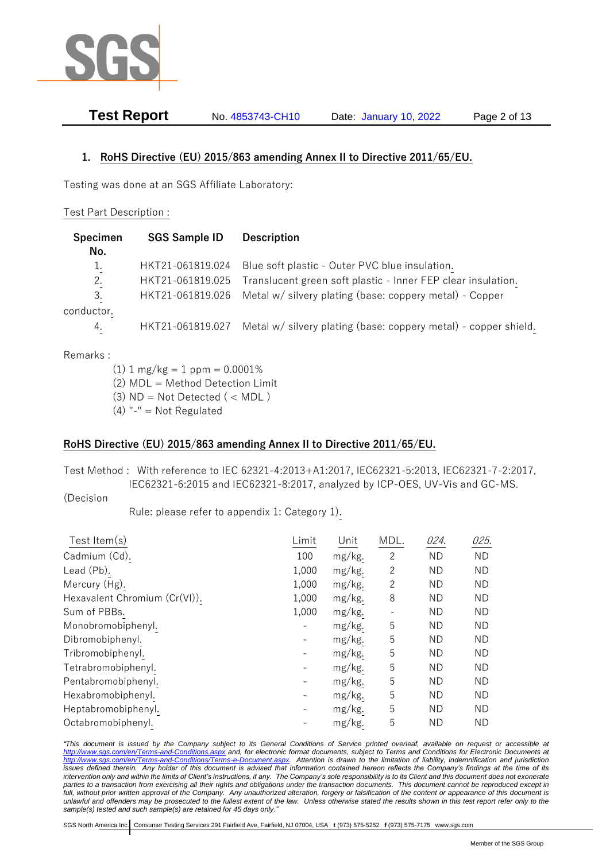

**Test Report** No. 4853743-CH10 Date: January 10, 2022 Page 2 of 13

## **1. RoHS Directive (EU) 2015/863 amending Annex II to Directive 2011/65/EU.**

Testing was done at an SGS Affiliate Laboratory:

#### Test Part Description :

| Specimen<br>No. | <b>SGS Sample ID</b> | <b>Description</b>                                              |
|-----------------|----------------------|-----------------------------------------------------------------|
|                 |                      |                                                                 |
| 1.              | HKT21-061819.024     | Blue soft plastic - Outer PVC blue insulation.                  |
| 2.              | HKT21-061819.025     | Translucent green soft plastic - Inner FEP clear insulation.    |
| 3.              | HKT21-061819.026     | Metal w/ silvery plating (base: coppery metal) - Copper         |
| conductor.      |                      |                                                                 |
| 4.              | HKT21-061819.027     | Metal w/ silvery plating (base: coppery metal) - copper shield. |

#### Remarks :

 $(1)$  1 mg/kg = 1 ppm = 0.0001%

(2) MDL = Method Detection Limit

- (3)  $ND = Not detected$  ( < MDL)
- $(4)$  "-" = Not Regulated

## **RoHS Directive (EU) 2015/863 amending Annex II to Directive 2011/65/EU.**

Test Method : With reference to IEC 62321-4:2013+A1:2017, IEC62321-5:2013, IEC62321-7-2:2017, IEC62321-6:2015 and IEC62321-8:2017, analyzed by ICP-OES, UV-Vis and GC-MS.

(Decision

Rule: please refer to appendix 1: Category 1).

| Test Item(s)                  | Limit | Unit   | MDL. | 024.      | 025.      |
|-------------------------------|-------|--------|------|-----------|-----------|
| Cadmium (Cd).                 | 100   | mg/kg. | 2    | <b>ND</b> | ND.       |
| Lead (Pb).                    | 1,000 | mg/kg. | 2    | <b>ND</b> | ND.       |
| Mercury (Hg).                 | 1,000 | mg/kg. | 2    | <b>ND</b> | <b>ND</b> |
| Hexavalent Chromium (Cr(VI)). | 1,000 | mg/kg. | 8    | <b>ND</b> | <b>ND</b> |
| Sum of PBBs.                  | 1,000 | mg/kg. |      | <b>ND</b> | ND.       |
| Monobromobiphenyl.            |       | mg/kg. | 5    | <b>ND</b> | <b>ND</b> |
| Dibromobiphenyl.              |       | mg/kg. | 5    | <b>ND</b> | <b>ND</b> |
| Tribromobiphenyl.             |       | mg/kg. | 5    | <b>ND</b> | <b>ND</b> |
| Tetrabromobiphenyl.           |       | mg/kg. | 5    | <b>ND</b> | <b>ND</b> |
| Pentabromobiphenyl.           |       | mg/kg. | 5    | <b>ND</b> | ND.       |
| Hexabromobiphenyl.            |       | mg/kg. | 5    | <b>ND</b> | <b>ND</b> |
| Heptabromobiphenyl.           |       | mg/kg. | 5    | <b>ND</b> | <b>ND</b> |
| Octabromobiphenyl.            |       | mg/kg. | 5    | <b>ND</b> | ND        |

*"This document is issued by the Company subject to its General Conditions of Service printed overleaf, available on request or accessible at <http://www.sgs.com/en/Terms-and-Conditions.aspx> and, for electronic format documents, subject to Terms and Conditions for Electronic Documents at [http://www.sgs.com/en/Terms-and-Conditions/Terms-e-Document.aspx.](http://www.sgs.com/en/Terms-and-Conditions/Terms-e-Document.aspx) Attention is drawn to the limitation of liability, indemnification and jurisdiction issues defined therein. Any holder of this document is advised that information contained hereon reflects the Company's findings at the time of its intervention only and within the limits of Client's instructions, if any. The Company's sole responsibility is to its Client and this document does not exonerate parties to a transaction from exercising all their rights and obligations under the transaction documents. This document cannot be reproduced except in full, without prior written approval of the Company. Any unauthorized alteration, forgery or falsification of the content or appearance of this document is unlawful and offenders may be prosecuted to the fullest extent of the law. Unless otherwise stated the results shown in this test report refer only to the sample(s) tested and such sample(s) are retained for 45 days only."*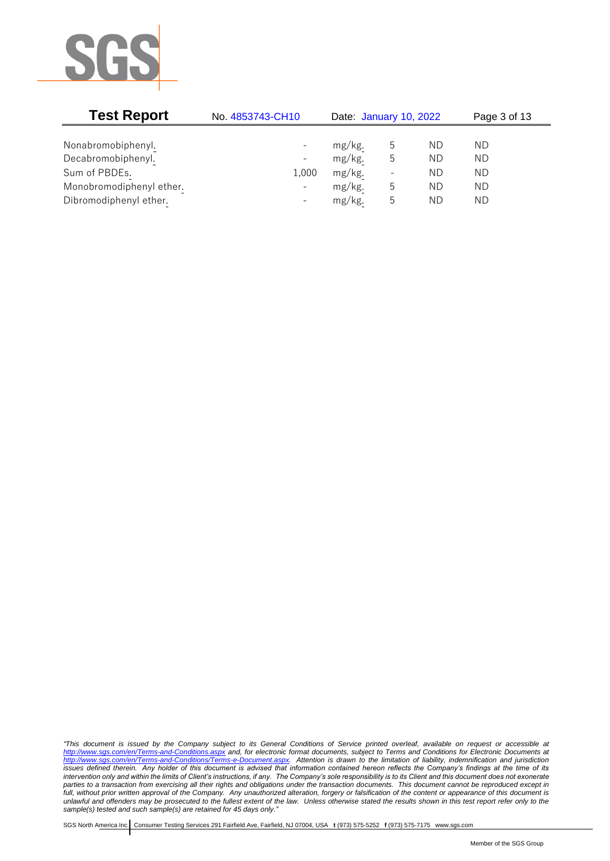

| <b>Test Report</b>       | No. 4853743-CH10         | Date: January 10, 2022 |                |    | Page 3 of 13 |  |
|--------------------------|--------------------------|------------------------|----------------|----|--------------|--|
|                          |                          |                        |                |    |              |  |
| Nonabromobiphenyl.       | $\qquad \qquad -$        | mg/kg.                 | ხ              | ND | ΝD           |  |
| Decabromobiphenyl.       | $\overline{\phantom{a}}$ | mg/kg.                 | 5              | ΝD | ΝD           |  |
| Sum of PBDEs.            | 1,000                    | mg/kg.                 | $\overline{a}$ | ΝD | ΝD           |  |
| Monobromodiphenyl ether. | $-$                      | mg/kg.                 | 5              | ΝD | ΝD           |  |
| Dibromodiphenyl ether.   | $\overline{\phantom{0}}$ | mg/kg.                 | 5              | ΝD | ΝD           |  |

*"This document is issued by the Company subject to its General Conditions of Service printed overleaf, available on request or accessible at <http://www.sgs.com/en/Terms-and-Conditions.aspx> and, for electronic format documents, subject to Terms and Conditions for Electronic Documents at [http://www.sgs.com/en/Terms-and-Conditions/Terms-e-Document.aspx.](http://www.sgs.com/en/Terms-and-Conditions/Terms-e-Document.aspx) Attention is drawn to the limitation of liability, indemnification and jurisdiction issues defined therein. Any holder of this document is advised that information contained hereon reflects the Company's findings at the time of its intervention only and within the limits of Client's instructions, if any. The Company's sole responsibility is to its Client and this document does not exonerate parties to a transaction from exercising all their rights and obligations under the transaction documents. This document cannot be reproduced except in full, without prior written approval of the Company. Any unauthorized alteration, forgery or falsification of the content or appearance of this document is unlawful and offenders may be prosecuted to the fullest extent of the law. Unless otherwise stated the results shown in this test report refer only to the sample(s) tested and such sample(s) are retained for 45 days only."*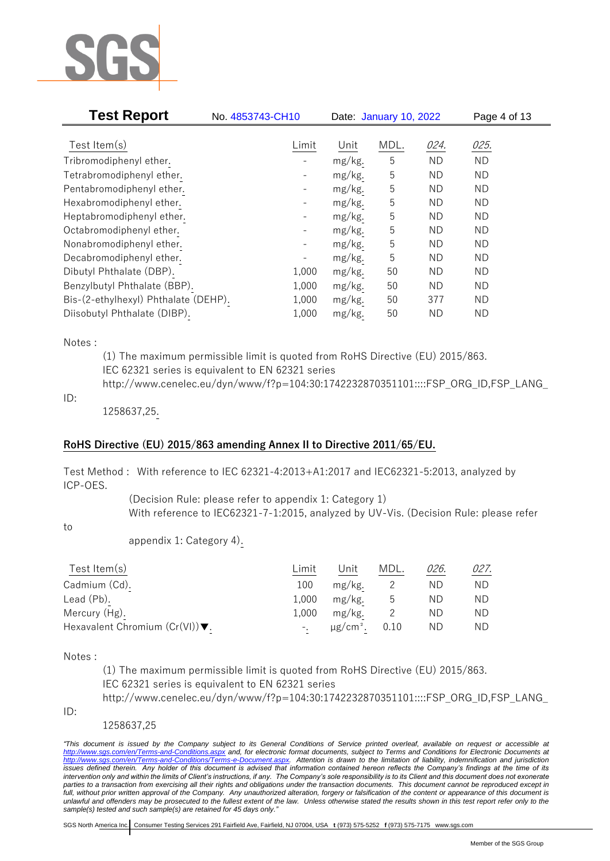

| <b>Test Report</b>                   | No. 4853743-CH10         |        | Date: January 10, 2022 |           | Page 4 of 13 |  |
|--------------------------------------|--------------------------|--------|------------------------|-----------|--------------|--|
| Test Item $(s)$                      | Limit                    | Unit   | MDL.                   | 024.      | 025.         |  |
| Tribromodiphenyl ether.              | $\qquad \qquad -$        | mg/kg. | 5                      | <b>ND</b> | <b>ND</b>    |  |
| Tetrabromodiphenyl ether.            | $\qquad \qquad -$        | mg/kg. | 5                      | <b>ND</b> | <b>ND</b>    |  |
| Pentabromodiphenyl ether.            |                          | mg/kg. | 5                      | ΝD        | ND           |  |
| Hexabromodiphenyl ether.             |                          | mg/kg. | 5                      | <b>ND</b> | <b>ND</b>    |  |
| Heptabromodiphenyl ether.            |                          | mg/kg. | 5                      | ΝD        | <b>ND</b>    |  |
| Octabromodiphenyl ether.             | $\overline{\phantom{0}}$ | mg/kg. | 5                      | <b>ND</b> | <b>ND</b>    |  |
| Nonabromodiphenyl ether.             |                          | mg/kg. | 5                      | <b>ND</b> | <b>ND</b>    |  |
| Decabromodiphenyl ether.             |                          | mg/kg. | 5                      | <b>ND</b> | <b>ND</b>    |  |
| Dibutyl Phthalate (DBP).             | 1,000                    | mg/kg. | 50                     | <b>ND</b> | <b>ND</b>    |  |
| Benzylbutyl Phthalate (BBP).         | 1,000                    | mg/kg. | 50                     | ND        | <b>ND</b>    |  |
| Bis-(2-ethylhexyl) Phthalate (DEHP). | 1,000                    | mg/kg. | 50                     | 377       | <b>ND</b>    |  |
| Diisobutyl Phthalate (DIBP).         | 1,000                    | mg/kg. | 50                     | <b>ND</b> | <b>ND</b>    |  |

#### Notes :

(1) The maximum permissible limit is quoted from RoHS Directive (EU) 2015/863. IEC 62321 series is equivalent to EN 62321 series http://www.cenelec.eu/dyn/www/f?p=104:30:1742232870351101::::FSP\_ORG\_ID,FSP\_LANG\_

#### ID:

1258637,25.

## **RoHS Directive (EU) 2015/863 amending Annex II to Directive 2011/65/EU.**

Test Method : With reference to IEC 62321-4:2013+A1:2017 and IEC62321-5:2013, analyzed by ICP-OES.

> (Decision Rule: please refer to appendix 1: Category 1) With reference to IEC62321-7-1:2015, analyzed by UV-Vis. (Decision Rule: please refer

to

appendix 1: Category 4).

| Test Item $(s)$                                    | Limit | Unit      | MDL. | 026. | 027. |
|----------------------------------------------------|-------|-----------|------|------|------|
| Cadmium (Cd).                                      | 100   | mg/kg.    |      | ΝD   | ND.  |
| Lead (Pb).                                         | 1,000 | $mg/kg$ . | ხ    | ND   | ND.  |
| Mercury (Hg).                                      | 1.000 | mg/kg.    |      | ND   | ND.  |
| Hexavalent Chromium $(Cr(VI))\blacktriangledown$ . |       | μg/cm².   | 0.10 | ND.  | ND.  |

Notes :

(1) The maximum permissible limit is quoted from RoHS Directive (EU) 2015/863. IEC 62321 series is equivalent to EN 62321 series

http://www.cenelec.eu/dyn/www/f?p=104:30:1742232870351101::::FSP\_ORG\_ID,FSP\_LANG\_

ID:

1258637,25

*"This document is issued by the Company subject to its General Conditions of Service printed overleaf, available on request or accessible at <http://www.sgs.com/en/Terms-and-Conditions.aspx> and, for electronic format documents, subject to Terms and Conditions for Electronic Documents at [http://www.sgs.com/en/Terms-and-Conditions/Terms-e-Document.aspx.](http://www.sgs.com/en/Terms-and-Conditions/Terms-e-Document.aspx) Attention is drawn to the limitation of liability, indemnification and jurisdiction issues defined therein. Any holder of this document is advised that information contained hereon reflects the Company's findings at the time of its intervention only and within the limits of Client's instructions, if any. The Company's sole responsibility is to its Client and this document does not exonerate parties to a transaction from exercising all their rights and obligations under the transaction documents. This document cannot be reproduced except in full, without prior written approval of the Company. Any unauthorized alteration, forgery or falsification of the content or appearance of this document is unlawful and offenders may be prosecuted to the fullest extent of the law. Unless otherwise stated the results shown in this test report refer only to the sample(s) tested and such sample(s) are retained for 45 days only."*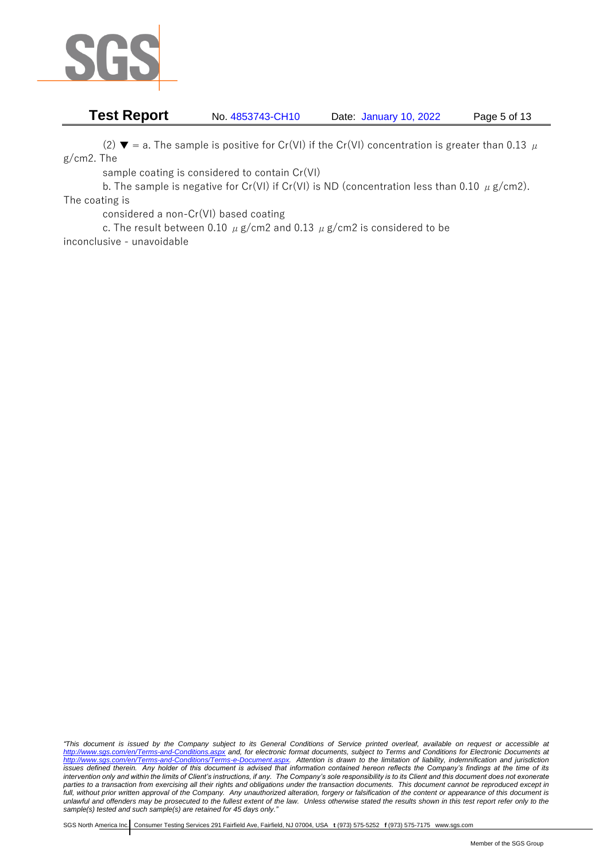

# **Test Report** No. 4853743-CH10 Date: January 10, 2022 Page 5 of 13

(2)  $\blacktriangledown$  = a. The sample is positive for Cr(VI) if the Cr(VI) concentration is greater than 0.13  $\mu$ g/cm2. The

sample coating is considered to contain Cr(VI)

b. The sample is negative for Cr(VI) if Cr(VI) is ND (concentration less than 0.10  $\mu$  g/cm2). The coating is

considered a non-Cr(VI) based coating

c. The result between 0.10  $\mu$  g/cm2 and 0.13  $\mu$  g/cm2 is considered to be inconclusive - unavoidable

*"This document is issued by the Company subject to its General Conditions of Service printed overleaf, available on request or accessible at <http://www.sgs.com/en/Terms-and-Conditions.aspx> and, for electronic format documents, subject to Terms and Conditions for Electronic Documents at [http://www.sgs.com/en/Terms-and-Conditions/Terms-e-Document.aspx.](http://www.sgs.com/en/Terms-and-Conditions/Terms-e-Document.aspx) Attention is drawn to the limitation of liability, indemnification and jurisdiction issues defined therein. Any holder of this document is advised that information contained hereon reflects the Company's findings at the time of its intervention only and within the limits of Client's instructions, if any. The Company's sole responsibility is to its Client and this document does not exonerate parties to a transaction from exercising all their rights and obligations under the transaction documents. This document cannot be reproduced except in full, without prior written approval of the Company. Any unauthorized alteration, forgery or falsification of the content or appearance of this document is unlawful and offenders may be prosecuted to the fullest extent of the law. Unless otherwise stated the results shown in this test report refer only to the sample(s) tested and such sample(s) are retained for 45 days only."*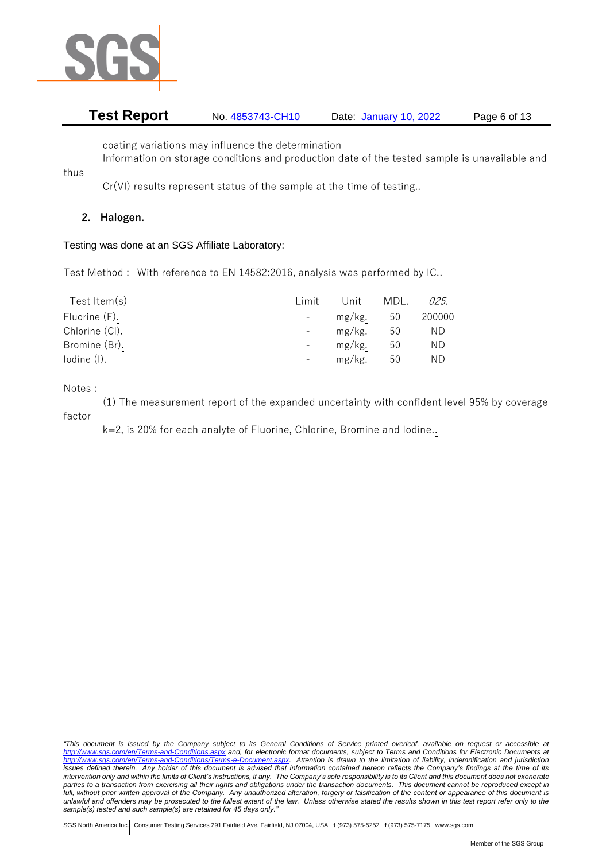

# **Test Report** No. 4853743-CH10 Date: January 10, 2022 Page 6 of 13

coating variations may influence the determination

Information on storage conditions and production date of the tested sample is unavailable and

Cr(VI) results represent status of the sample at the time of testing..

# **2. Halogen.**

thus

Testing was done at an SGS Affiliate Laboratory:

Test Method : With reference to EN 14582:2016, analysis was performed by IC..

| Test Item $(s)$ | Limit | Unit   | MDL. | 025.   |
|-----------------|-------|--------|------|--------|
| Fluorine (F).   |       | mg/kg. | 50   | 200000 |
| Chlorine (CI).  |       | mg/kg. | 50   | ΝD     |
| Bromine (Br).   |       | mg/kg. | 50   | ΝD     |
| $Iodine$ $(I).$ |       | mg/kg. | 50   | ΝD     |

Notes :

(1) The measurement report of the expanded uncertainty with confident level 95% by coverage factor

k=2, is 20% for each analyte of Fluorine, Chlorine, Bromine and Iodine..

*"This document is issued by the Company subject to its General Conditions of Service printed overleaf, available on request or accessible at <http://www.sgs.com/en/Terms-and-Conditions.aspx> and, for electronic format documents, subject to Terms and Conditions for Electronic Documents at [http://www.sgs.com/en/Terms-and-Conditions/Terms-e-Document.aspx.](http://www.sgs.com/en/Terms-and-Conditions/Terms-e-Document.aspx) Attention is drawn to the limitation of liability, indemnification and jurisdiction issues defined therein. Any holder of this document is advised that information contained hereon reflects the Company's findings at the time of its intervention only and within the limits of Client's instructions, if any. The Company's sole responsibility is to its Client and this document does not exonerate parties to a transaction from exercising all their rights and obligations under the transaction documents. This document cannot be reproduced except in full, without prior written approval of the Company. Any unauthorized alteration, forgery or falsification of the content or appearance of this document is unlawful and offenders may be prosecuted to the fullest extent of the law. Unless otherwise stated the results shown in this test report refer only to the sample(s) tested and such sample(s) are retained for 45 days only."*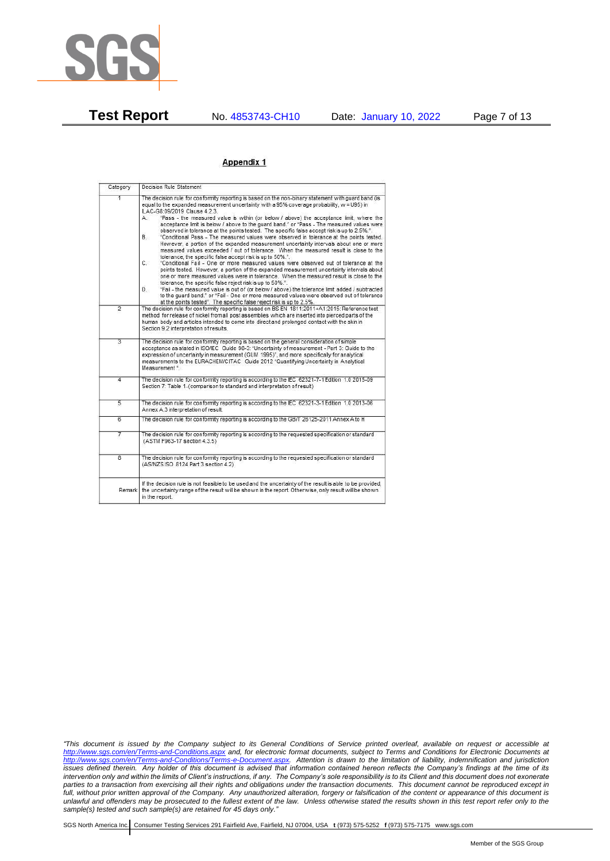

**Test Report** No. 4853743-CH10 Date: January 10, 2022 Page 7 of 13

#### Appendix 1

| Category       | Decision Rule Statement                                                                                                                                                                                                                                                                                                                                                                                                                                                                                                                                                                                                                                                                                                                                                                                                                                                                                                                                                                                                                                                                                                                                                                                                                                                                                                                                                                                                                                                                                           |
|----------------|-------------------------------------------------------------------------------------------------------------------------------------------------------------------------------------------------------------------------------------------------------------------------------------------------------------------------------------------------------------------------------------------------------------------------------------------------------------------------------------------------------------------------------------------------------------------------------------------------------------------------------------------------------------------------------------------------------------------------------------------------------------------------------------------------------------------------------------------------------------------------------------------------------------------------------------------------------------------------------------------------------------------------------------------------------------------------------------------------------------------------------------------------------------------------------------------------------------------------------------------------------------------------------------------------------------------------------------------------------------------------------------------------------------------------------------------------------------------------------------------------------------------|
| $\overline{1}$ | The decision rule for conformity reporting is based on the non-binary statement with quard band (is<br>equal to the expanded measurement uncertainty with a 95% coverage probability, w = U95) in<br>ILAC-G8:09/2019 Clause 4.2.3.<br>"Pass - the measured value is within (or below / above) the acceptance limit, where the<br>А.<br>acceptance limit is below / above to the quard band." or "Pass - The measured values were<br>observed in tolerance at the points tested. The specific false accept risk is up to 2.5%.".<br>B.<br>"Conditional Pass - The measured values were observed in tolerance at the points tested.<br>However, a portion of the expanded measurement uncertainty intervals about one or more<br>measured values exceeded / out of tolerance. When the measured result is close to the<br>tolerance, the specific false accept risk is up to 50%."<br>C.<br>"Conditional Fail - One or more measured values were observed out of tolerance at the<br>points tested. However, a portion of the expanded measurement uncertainty intervals about<br>one or more measured values were in tolerance. When the measured result is close to the<br>tolerance, the specific false reject risk is up to 50%.".<br>"Fail - the measured value is out of (or below / above) the tolerance limit added / subtracted<br>D.<br>to the quard band." or "Fail - One or more measured values were observed out of tolerance<br>at the points tested". The specific false reject risk is up to 2.5%. |
| $\overline{2}$ | The decision rule for conformity reporting is based on BS EN 1811:2011+A1:2015: Reference test<br>method for release of nickel from all post assemblies which are inserted into pierced parts of the<br>human body and articles intended to come into direct and prolonged contact with the skin in<br>Section 9.2 interpretation of results.                                                                                                                                                                                                                                                                                                                                                                                                                                                                                                                                                                                                                                                                                                                                                                                                                                                                                                                                                                                                                                                                                                                                                                     |
| $\overline{3}$ | The decision rule for conformity reporting is based on the general consideration of simple<br>acceptance as stated in ISO/IEC Guide 98-3: "Uncertainty of measurement - Part 3: Guide to the<br>expression of uncertainty in measurement (GUM 1995)", and more specifically for analytical<br>measurements to the EURACHEM/CITAC Guide 2012 "Quantifying Uncertainty in Analytical<br>Measurement *                                                                                                                                                                                                                                                                                                                                                                                                                                                                                                                                                                                                                                                                                                                                                                                                                                                                                                                                                                                                                                                                                                               |
| 4              | The decision rule for conformity reporting is according to the IEC 62321-7-1 Edition 1.0 2015-09<br>Section 7: Table 1-(comparison to standard and interpretation of result)                                                                                                                                                                                                                                                                                                                                                                                                                                                                                                                                                                                                                                                                                                                                                                                                                                                                                                                                                                                                                                                                                                                                                                                                                                                                                                                                      |
| $\overline{5}$ | The decision rule for conformity reporting is according to the IEC 62321-3-1 Edition 1.0 2013-06<br>Annex A.3 interpretation of result.                                                                                                                                                                                                                                                                                                                                                                                                                                                                                                                                                                                                                                                                                                                                                                                                                                                                                                                                                                                                                                                                                                                                                                                                                                                                                                                                                                           |
| 6              | The decision rule for conformity reporting is according to the GB/T 26125-2011 Annex A to H                                                                                                                                                                                                                                                                                                                                                                                                                                                                                                                                                                                                                                                                                                                                                                                                                                                                                                                                                                                                                                                                                                                                                                                                                                                                                                                                                                                                                       |
| 7              | The decision rule for conformity reporting is according to the requested specification or standard<br>(ASTM F963-17 section 4.3.5)                                                                                                                                                                                                                                                                                                                                                                                                                                                                                                                                                                                                                                                                                                                                                                                                                                                                                                                                                                                                                                                                                                                                                                                                                                                                                                                                                                                |
| $\overline{8}$ | The decision rule for conformity reporting is according to the requested specification or standard<br>(AS/NZS ISO 8124 Part 3 section 4.2)                                                                                                                                                                                                                                                                                                                                                                                                                                                                                                                                                                                                                                                                                                                                                                                                                                                                                                                                                                                                                                                                                                                                                                                                                                                                                                                                                                        |
|                | If the decision rule is not feasible to be used and the uncertainty of the result is able to be provided,<br>Remark the uncertainty range of the result will be shown in the report. Otherwise, only result will be shown<br>in the report.                                                                                                                                                                                                                                                                                                                                                                                                                                                                                                                                                                                                                                                                                                                                                                                                                                                                                                                                                                                                                                                                                                                                                                                                                                                                       |

*"This document is issued by the Company subject to its General Conditions of Service printed overleaf, available on request or accessible at <http://www.sgs.com/en/Terms-and-Conditions.aspx> and, for electronic format documents, subject to Terms and Conditions for Electronic Documents at [http://www.sgs.com/en/Terms-and-Conditions/Terms-e-Document.aspx.](http://www.sgs.com/en/Terms-and-Conditions/Terms-e-Document.aspx) Attention is drawn to the limitation of liability, indemnification and jurisdiction issues defined therein. Any holder of this document is advised that information contained hereon reflects the Company's findings at the time of its intervention only and within the limits of Client's instructions, if any. The Company's sole responsibility is to its Client and this document does not exonerate parties to a transaction from exercising all their rights and obligations under the transaction documents. This document cannot be reproduced except in full, without prior written approval of the Company. Any unauthorized alteration, forgery or falsification of the content or appearance of this document is unlawful and offenders may be prosecuted to the fullest extent of the law. Unless otherwise stated the results shown in this test report refer only to the sample(s) tested and such sample(s) are retained for 45 days only."*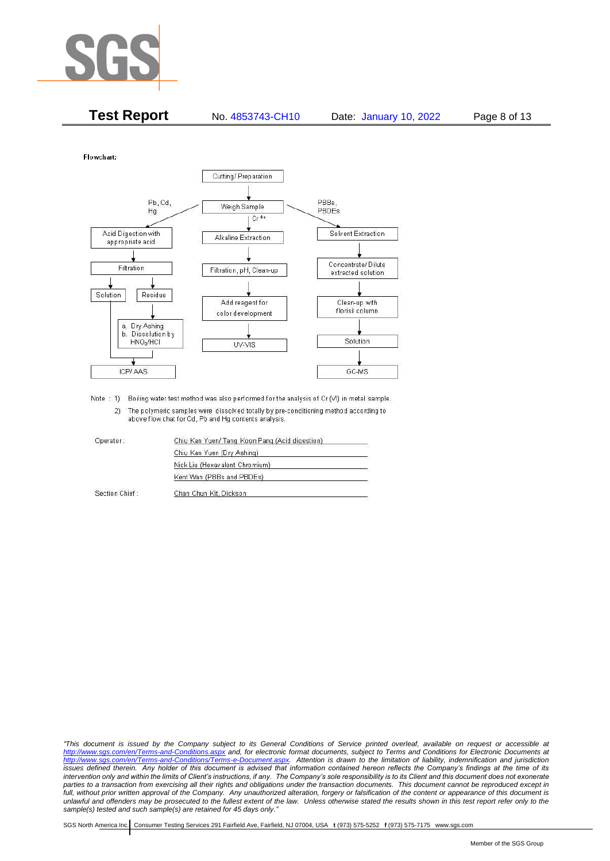

| <b>Test Report</b> | No. 4853743-CH10 | Date: January 10, 2022 | Page 8 of 13 |
|--------------------|------------------|------------------------|--------------|
|--------------------|------------------|------------------------|--------------|

Flowchart:



Note : 1) Boiling water test method was also performed for the analysis of Cr (VI) in metal sample. 2) The polymeric samples were dissolved totally by pre-conditioning method according to above flow chat for Cd, Pb and Hg contents analysis

| Operator:      | Chiu Kan Yuen/ Tang Koon Pang (Acid digestion) |
|----------------|------------------------------------------------|
|                | Chiu Kan Yuen (Dry Ashing)                     |
|                | Nick Liu (Hexavalent Chromium)                 |
|                | Kent Wan (PBBs and PBDEs)                      |
| Section Chief: | Chan Chun Kit, Dickson                         |

*"This document is issued by the Company subject to its General Conditions of Service printed overleaf, available on request or accessible at <http://www.sgs.com/en/Terms-and-Conditions.aspx> and, for electronic format documents, subject to Terms and Conditions for Electronic Documents at [http://www.sgs.com/en/Terms-and-Conditions/Terms-e-Document.aspx.](http://www.sgs.com/en/Terms-and-Conditions/Terms-e-Document.aspx) Attention is drawn to the limitation of liability, indemnification and jurisdiction issues defined therein. Any holder of this document is advised that information contained hereon reflects the Company's findings at the time of its intervention only and within the limits of Client's instructions, if any. The Company's sole responsibility is to its Client and this document does not exonerate*  parties to a transaction from exercising all their rights and obligations under the transaction documents. This document cannot be reproduced except in *full, without prior written approval of the Company. Any unauthorized alteration, forgery or falsification of the content or appearance of this document is unlawful and offenders may be prosecuted to the fullest extent of the law. Unless otherwise stated the results shown in this test report refer only to the sample(s) tested and such sample(s) are retained for 45 days only."*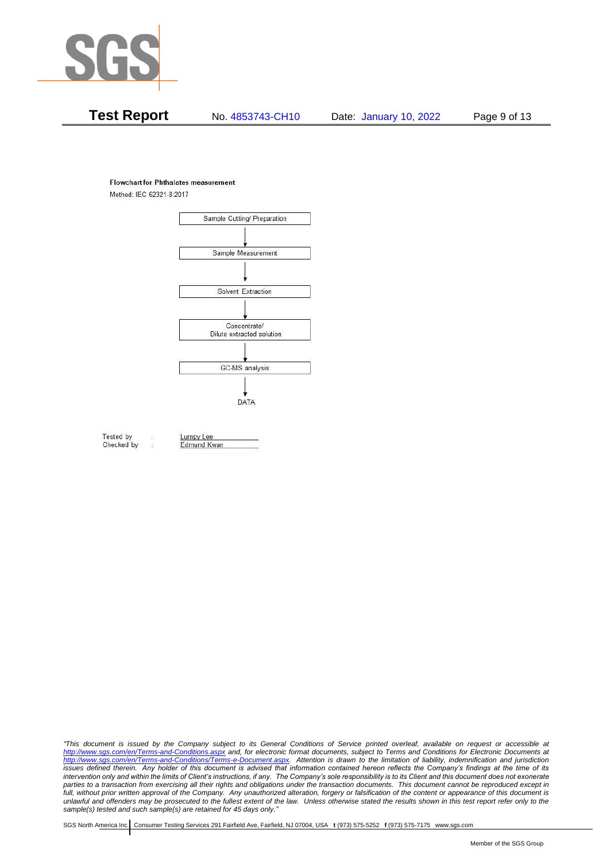

# **Test Report** No. 4853743-CH10 Date: January 10, 2022 Page 9 of 13

#### **Flowchart for Phthalates measurement**

Method: IEC 62321-8:2017



Tested by Checked by Lumpy Lee

Edmund Kwan

*"This document is issued by the Company subject to its General Conditions of Service printed overleaf, available on request or accessible at <http://www.sgs.com/en/Terms-and-Conditions.aspx> and, for electronic format documents, subject to Terms and Conditions for Electronic Documents at [http://www.sgs.com/en/Terms-and-Conditions/Terms-e-Document.aspx.](http://www.sgs.com/en/Terms-and-Conditions/Terms-e-Document.aspx) Attention is drawn to the limitation of liability, indemnification and jurisdiction issues defined therein. Any holder of this document is advised that information contained hereon reflects the Company's findings at the time of its intervention only and within the limits of Client's instructions, if any. The Company's sole responsibility is to its Client and this document does not exonerate*  parties to a transaction from exercising all their rights and obligations under the transaction documents. This document cannot be reproduced except in *full, without prior written approval of the Company. Any unauthorized alteration, forgery or falsification of the content or appearance of this document is unlawful and offenders may be prosecuted to the fullest extent of the law. Unless otherwise stated the results shown in this test report refer only to the sample(s) tested and such sample(s) are retained for 45 days only."*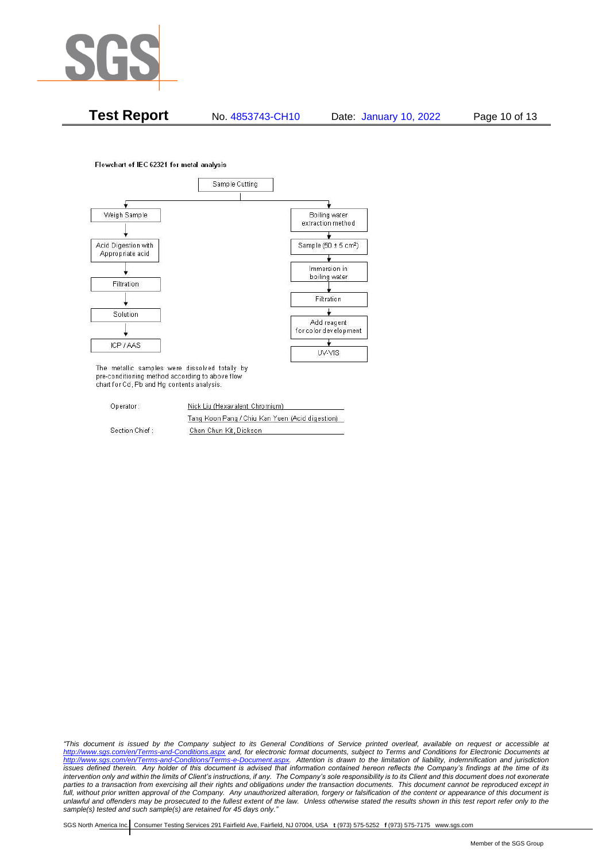

**Test Report** No. 4853743-CH10 Date: January 10, 2022 Page 10 of 13

Flowchart of IEC 62321 for metal analysis



The metallic samples were dissolved totally by pre-conditioning method according to above flow chart for Cd, Pb and Hg contents analysis.

| Operator:      | Nick Liu (Hexavalent Chromium)                  |  |  |
|----------------|-------------------------------------------------|--|--|
|                | Tang Koon Pang / Chiu Kan Yuen (Acid digestion) |  |  |
| Section Chief: | Chan Chun Kit, Dickson                          |  |  |

*"This document is issued by the Company subject to its General Conditions of Service printed overleaf, available on request or accessible at <http://www.sgs.com/en/Terms-and-Conditions.aspx> and, for electronic format documents, subject to Terms and Conditions for Electronic Documents at [http://www.sgs.com/en/Terms-and-Conditions/Terms-e-Document.aspx.](http://www.sgs.com/en/Terms-and-Conditions/Terms-e-Document.aspx) Attention is drawn to the limitation of liability, indemnification and jurisdiction issues defined therein. Any holder of this document is advised that information contained hereon reflects the Company's findings at the time of its intervention only and within the limits of Client's instructions, if any. The Company's sole responsibility is to its Client and this document does not exonerate parties to a transaction from exercising all their rights and obligations under the transaction documents. This document cannot be reproduced except in full, without prior written approval of the Company. Any unauthorized alteration, forgery or falsification of the content or appearance of this document is unlawful and offenders may be prosecuted to the fullest extent of the law. Unless otherwise stated the results shown in this test report refer only to the sample(s) tested and such sample(s) are retained for 45 days only."*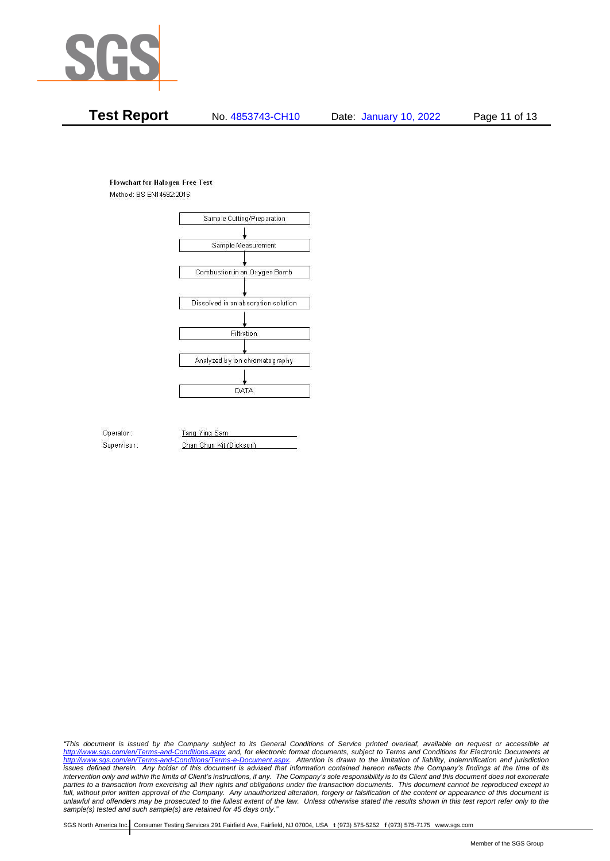

# **Test Report** No. 4853743-CH10 Date: January 10, 2022 Page 11 of 13

#### **Flowchart for Halogen Free Test**

Method: BS EN14582:2016



Operator: Supervisor: Tang Ying Sam Chan Chun Kit (Dickson)

*"This document is issued by the Company subject to its General Conditions of Service printed overleaf, available on request or accessible at <http://www.sgs.com/en/Terms-and-Conditions.aspx> and, for electronic format documents, subject to Terms and Conditions for Electronic Documents at [http://www.sgs.com/en/Terms-and-Conditions/Terms-e-Document.aspx.](http://www.sgs.com/en/Terms-and-Conditions/Terms-e-Document.aspx) Attention is drawn to the limitation of liability, indemnification and jurisdiction issues defined therein. Any holder of this document is advised that information contained hereon reflects the Company's findings at the time of its intervention only and within the limits of Client's instructions, if any. The Company's sole responsibility is to its Client and this document does not exonerate*  parties to a transaction from exercising all their rights and obligations under the transaction documents. This document cannot be reproduced except in *full, without prior written approval of the Company. Any unauthorized alteration, forgery or falsification of the content or appearance of this document is unlawful and offenders may be prosecuted to the fullest extent of the law. Unless otherwise stated the results shown in this test report refer only to the sample(s) tested and such sample(s) are retained for 45 days only."*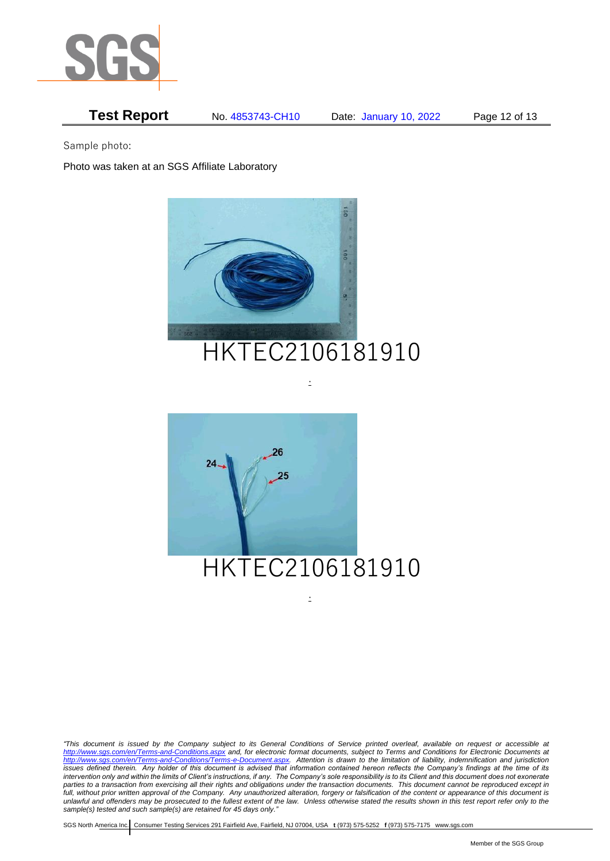

# **Test Report** No. 4853743-CH10 Date: January 10, 2022 Page 12 of 13

Sample photo:

Photo was taken at an SGS Affiliate Laboratory



# HKTEC2106181910

.



*"This document is issued by the Company subject to its General Conditions of Service printed overleaf, available on request or accessible at <http://www.sgs.com/en/Terms-and-Conditions.aspx> and, for electronic format documents, subject to Terms and Conditions for Electronic Documents at [http://www.sgs.com/en/Terms-and-Conditions/Terms-e-Document.aspx.](http://www.sgs.com/en/Terms-and-Conditions/Terms-e-Document.aspx) Attention is drawn to the limitation of liability, indemnification and jurisdiction issues defined therein. Any holder of this document is advised that information contained hereon reflects the Company's findings at the time of its intervention only and within the limits of Client's instructions, if any. The Company's sole responsibility is to its Client and this document does not exonerate*  parties to a transaction from exercising all their rights and obligations under the transaction documents. This document cannot be reproduced except in *full, without prior written approval of the Company. Any unauthorized alteration, forgery or falsification of the content or appearance of this document is unlawful and offenders may be prosecuted to the fullest extent of the law. Unless otherwise stated the results shown in this test report refer only to the sample(s) tested and such sample(s) are retained for 45 days only."* 

.